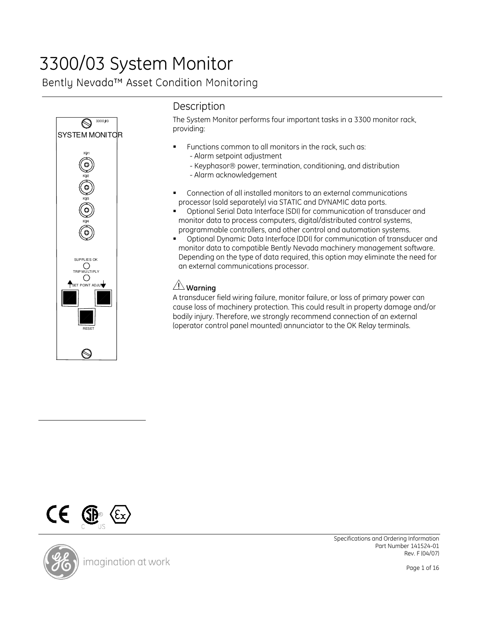# 3300/03 System Monitor

Bently Nevada™ Asset Condition Monitoring



# **Description**

The System Monitor performs four important tasks in a 3300 monitor rack, providing:

- Functions common to all monitors in the rack, such as:
	- Alarm setpoint adjustment
	- Keyphasor<sup>®</sup> power, termination, conditioning, and distribution
	- Alarm acknowledgement
- Connection of all installed monitors to an external communications processor (sold separately) via STATIC and DYNAMIC data ports.
- Optional Serial Data Interface (SDI) for communication of transducer and monitor data to process computers, digital/distributed control systems, programmable controllers, and other control and automation systems.
- Optional Dynamic Data Interface (DDI) for communication of transducer and monitor data to compatible Bently Nevada machinery management software. Depending on the type of data required, this option may eliminate the need for an external communications processor.

## $\angle \mathbf{N}$  Warning

A transducer field wiring failure, monitor failure, or loss of primary power can cause loss of machinery protection. This could result in property damage and/or bodily injury. Therefore, we strongly recommend connection of an external (operator control panel mounted) annunciator to the OK Relay terminals.



 Specifications and Ordering Information Part Number 141524-01 Rev. F (04/07)

Page 1 of 16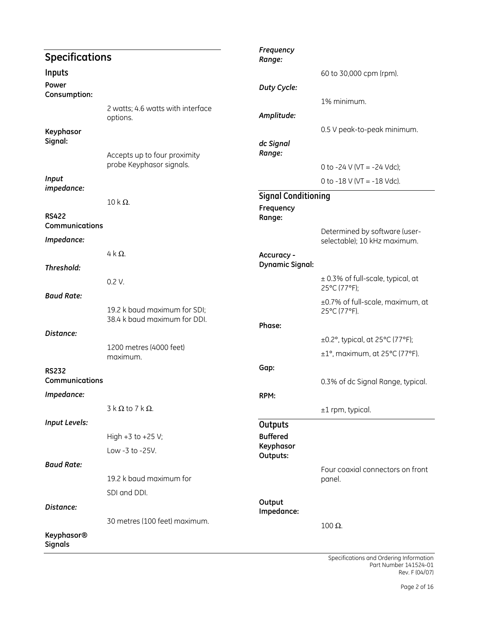| <b>Specifications</b>               |                                                              | Frequency<br>Range:        |                                                                  |
|-------------------------------------|--------------------------------------------------------------|----------------------------|------------------------------------------------------------------|
| Inputs                              |                                                              |                            | 60 to 30,000 cpm (rpm).                                          |
| Power                               |                                                              | Duty Cycle:                |                                                                  |
| Consumption:                        |                                                              |                            | 1% minimum.                                                      |
|                                     | 2 watts; 4.6 watts with interface                            | Amplitude:                 |                                                                  |
|                                     | options.                                                     |                            | 0.5 V peak-to-peak minimum.                                      |
| Keyphasor<br>Signal:                |                                                              | dc Signal                  |                                                                  |
|                                     | Accepts up to four proximity                                 | Range:                     |                                                                  |
|                                     | probe Keyphasor signals.                                     |                            | 0 to -24 V (VT = -24 Vdc);                                       |
| Input                               |                                                              |                            | 0 to -18 V (VT = -18 Vdc).                                       |
| impedance:                          |                                                              | <b>Signal Conditioning</b> |                                                                  |
|                                     | $10 k \Omega$ .                                              | Frequency                  |                                                                  |
| <b>RS422</b><br>Communications      |                                                              | Range:                     |                                                                  |
| Impedance:                          |                                                              |                            | Determined by software (user-<br>selectable); 10 kHz maximum.    |
|                                     | $4 k \Omega$ .                                               | Accuracy -                 |                                                                  |
| Threshold:                          |                                                              | <b>Dynamic Signal:</b>     |                                                                  |
|                                     | 0.2 V.                                                       |                            | $\pm$ 0.3% of full-scale, typical, at<br>25°C (77°F);            |
| <b>Baud Rate:</b>                   |                                                              |                            | ±0.7% of full-scale, maximum, at                                 |
|                                     | 19.2 k baud maximum for SDI;<br>38.4 k baud maximum for DDI. |                            | 25°C (77°F).                                                     |
| Distance:                           |                                                              | Phase:                     |                                                                  |
|                                     | 1200 metres (4000 feet)                                      |                            | $\pm$ 0.2°, typical, at 25°C (77°F);                             |
|                                     | maximum.                                                     |                            | $\pm 1^{\circ}$ , maximum, at 25 $^{\circ}$ C (77 $^{\circ}$ F). |
| <b>RS232</b>                        |                                                              | Gap:                       |                                                                  |
| Communications                      |                                                              |                            | 0.3% of dc Signal Range, typical.                                |
| Impedance:                          |                                                              | RPM:                       |                                                                  |
|                                     | $3 \kappa \Omega$ to $7 \kappa \Omega$ .                     |                            | $±1$ rpm, typical.                                               |
| <b>Input Levels:</b>                |                                                              | Outputs                    |                                                                  |
|                                     | High $+3$ to $+25$ V;                                        | <b>Buffered</b>            |                                                                  |
|                                     | Low -3 to -25V.                                              | Keyphasor<br>Outputs:      |                                                                  |
| <b>Baud Rate:</b>                   |                                                              |                            | Four coaxial connectors on front                                 |
|                                     | 19.2 k baud maximum for                                      |                            | panel.                                                           |
|                                     | SDI and DDI.                                                 |                            |                                                                  |
| Distance:                           |                                                              | Output<br>Impedance:       |                                                                  |
|                                     | 30 metres (100 feet) maximum.                                |                            | $100 Ω$ .                                                        |
| <b>Keyphasor®</b><br><b>Signals</b> |                                                              |                            |                                                                  |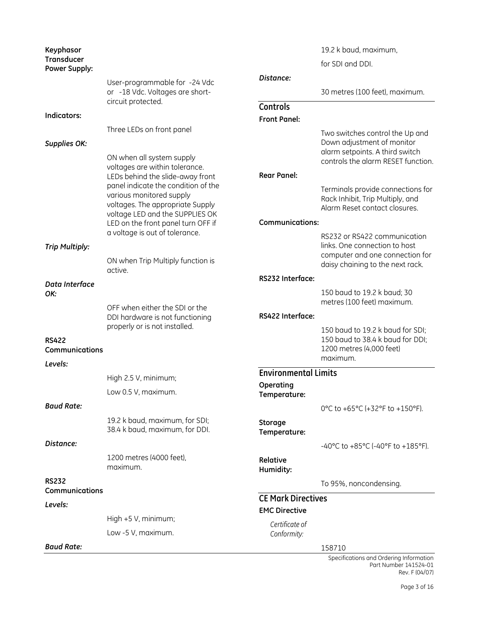| Keyphasor<br><b>Transducer</b> |                                                                         |                             | 19.2 k baud, maximum,                                                 |
|--------------------------------|-------------------------------------------------------------------------|-----------------------------|-----------------------------------------------------------------------|
| <b>Power Supply:</b>           |                                                                         |                             | for SDI and DDI.                                                      |
|                                | User-programmable for -24 Vdc                                           | Distance:                   |                                                                       |
|                                | or -18 Vdc. Voltages are short-                                         |                             | 30 metres (100 feet), maximum.                                        |
|                                | circuit protected.                                                      | Controls                    |                                                                       |
| Indicators:                    |                                                                         | <b>Front Panel:</b>         |                                                                       |
|                                | Three LEDs on front panel                                               |                             | Two switches control the Up and                                       |
| <b>Supplies OK:</b>            |                                                                         |                             | Down adjustment of monitor                                            |
|                                | ON when all system supply                                               |                             | alarm setpoints. A third switch<br>controls the alarm RESET function. |
|                                | voltages are within tolerance.                                          | <b>Rear Panel:</b>          |                                                                       |
|                                | LEDs behind the slide-away front<br>panel indicate the condition of the |                             |                                                                       |
|                                | various monitored supply                                                |                             | Terminals provide connections for<br>Rack Inhibit, Trip Multiply, and |
|                                | voltages. The appropriate Supply                                        |                             | Alarm Reset contact closures.                                         |
|                                | voltage LED and the SUPPLIES OK<br>LED on the front panel turn OFF if   | <b>Communications:</b>      |                                                                       |
|                                | a voltage is out of tolerance.                                          |                             | RS232 or RS422 communication                                          |
| <b>Trip Multiply:</b>          |                                                                         |                             | links. One connection to host                                         |
|                                | ON when Trip Multiply function is                                       |                             | computer and one connection for                                       |
|                                | active.                                                                 |                             | daisy chaining to the next rack.                                      |
| Data Interface                 |                                                                         | RS232 Interface:            |                                                                       |
| OK:                            |                                                                         |                             | 150 baud to 19.2 k baud; 30<br>metres (100 feet) maximum.             |
|                                | OFF when either the SDI or the                                          |                             |                                                                       |
|                                | DDI hardware is not functioning<br>properly or is not installed.        | RS422 Interface:            |                                                                       |
| <b>RS422</b>                   |                                                                         |                             | 150 baud to 19.2 k baud for SDI;<br>150 baud to 38.4 k baud for DDI;  |
| Communications                 |                                                                         |                             | 1200 metres (4,000 feet)                                              |
| Levels:                        |                                                                         |                             | maximum.                                                              |
|                                | High $2.5$ V, minimum;                                                  | <b>Environmental Limits</b> |                                                                       |
|                                | Low 0.5 V, maximum.                                                     | Operating                   |                                                                       |
|                                |                                                                         | Temperature:                |                                                                       |
| <b>Baud Rate:</b>              |                                                                         |                             | 0°C to +65°C (+32°F to +150°F).                                       |
|                                | 19.2 k baud, maximum, for SDI;<br>38.4 k baud, maximum, for DDI.        | Storage                     |                                                                       |
|                                |                                                                         | Temperature:                |                                                                       |
| Distance:                      |                                                                         |                             | -40°C to +85°C (-40°F to +185°F).                                     |
|                                | 1200 metres (4000 feet),<br>maximum.                                    | Relative                    |                                                                       |
| <b>RS232</b>                   |                                                                         | Humidity:                   |                                                                       |
| Communications                 |                                                                         |                             | To 95%, noncondensing.                                                |
| Levels:                        |                                                                         | <b>CE Mark Directives</b>   |                                                                       |
|                                | High $+5$ V, minimum;                                                   | <b>EMC Directive</b>        |                                                                       |
|                                | Low -5 V, maximum.                                                      | Certificate of              |                                                                       |
|                                |                                                                         | Conformity:                 |                                                                       |
| <b>Baud Rate:</b>              |                                                                         |                             | 158710                                                                |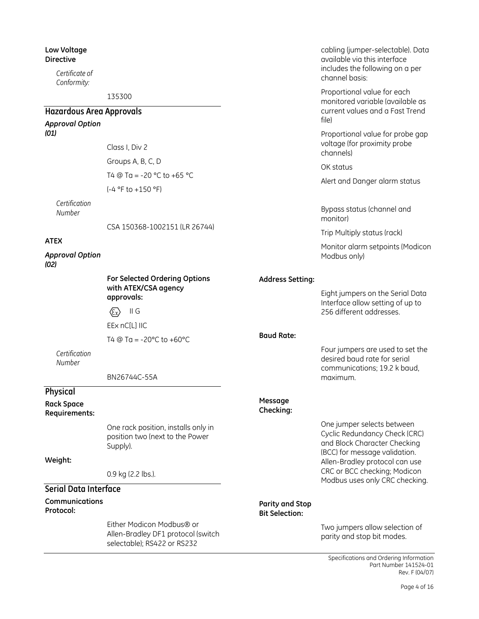### Low Voltage Directive

Certificate of Conformity:

135300

#### Hazardous Area Approvals Approval Option (01) Class I, Div 2 Groups A, B, C, D T4  $\textcircled{a}$  Ta = -20 °C to +65 °C (-4 °F to +150 °F) **Certification** Number CSA 150368-1002151 (LR 26744) ATEX Approval Option (02) For Selected Ordering Options with ATEX/CSA agency approvals:  $\langle \overline{\epsilon_{x}} \rangle$  II G EEx nC[L] IIC T4  $@$  Ta = -20 $°C$  to +60 $°C$ **Certification** Number BN26744C-55A Physical Rack Space Requirements: One rack position, installs only in position two (next to the Power Supply). Weight: 0.9 kg (2.2 lbs.). Serial Data Interface Communications Protocol: current values and a Fast Trend file) Proportional value for probe gap voltage (for proximity probe channels) OK status Alert and Danger alarm status Bypass status (channel and monitor) Trip Multiply status (rack) Monitor alarm setpoints (Modicon Modbus only) Address Setting: Eight jumpers on the Serial Data Interface allow setting of up to 256 different addresses. Baud Rate: Four jumpers are used to set the desired baud rate for serial communications; 19.2 k baud, maximum. Message Checking: One jumper selects between Cyclic Redundancy Check (CRC) and Block Character Checking (BCC) for message validation. Allen-Bradley protocol can use CRC or BCC checking; Modicon Modbus uses only CRC checking. Parity and Stop Bit Selection:

Either Modicon Modbus® or Allen-Bradley DF1 protocol (switch selectable); RS422 or RS232

Two jumpers allow selection of parity and stop bit modes.

cabling (jumper-selectable). Data available via this interface includes the following on a per

Proportional value for each monitored variable (available as

channel basis: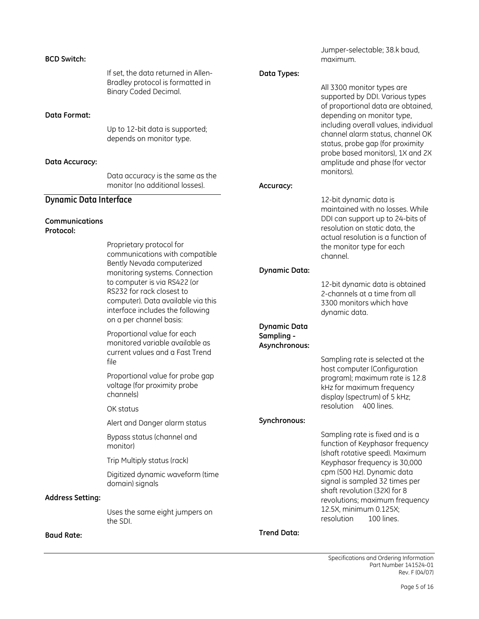### BCD Switch:

If set, the data returned in Allen-Bradley protocol is formatted in Binary Coded Decimal.

### Data Format:

Up to 12-bit data is supported; depends on monitor type.

### Data Accuracy:

Data accuracy is the same as the monitor (no additional losses).

### Dynamic Data Interface

#### Communications Protocol:

Proprietary protocol for communications with compatible Bently Nevada computerized monitoring systems. Connection to computer is via RS422 (or RS232 for rack closest to computer). Data available via this interface includes the following on a per channel basis:

Proportional value for each monitored variable available as current values and a Fast Trend file

Proportional value for probe gap voltage (for proximity probe channels)

OK status

Alert and Danger alarm status

Bypass status (channel and monitor)

Trip Multiply status (rack)

Digitized dynamic waveform (time domain) signals

### Address Setting:

Uses the same eight jumpers on the SDI.

### Baud Rate:

Jumper-selectable; 38.k baud, maximum.

### Data Types:

All 3300 monitor types are supported by DDI. Various types of proportional data are obtained, depending on monitor type, including overall values, individual channel alarm status, channel OK status, probe gap (for proximity probe based monitors), 1X and 2X amplitude and phase (for vector monitors).

#### Accuracy:

12-bit dynamic data is maintained with no losses. While DDI can support up to 24-bits of resolution on static data, the actual resolution is a function of the monitor type for each channel.

### Dynamic Data:

12-bit dynamic data is obtained 2-channels at a time from all 3300 monitors which have dynamic data.

### Dynamic Data Sampling - Asynchronous:

Sampling rate is selected at the host computer (Configuration program); maximum rate is 12.8 kHz for maximum frequency display (spectrum) of 5 kHz; resolution 400 lines.

### Synchronous:

Sampling rate is fixed and is a function of Keyphasor frequency (shaft rotative speed). Maximum Keyphasor frequency is 30,000 cpm (500 Hz). Dynamic data signal is sampled 32 times per shaft revolution (32X) for 8 revolutions; maximum frequency 12.5X, minimum 0.125X; resolution 100 lines.

Trend Data: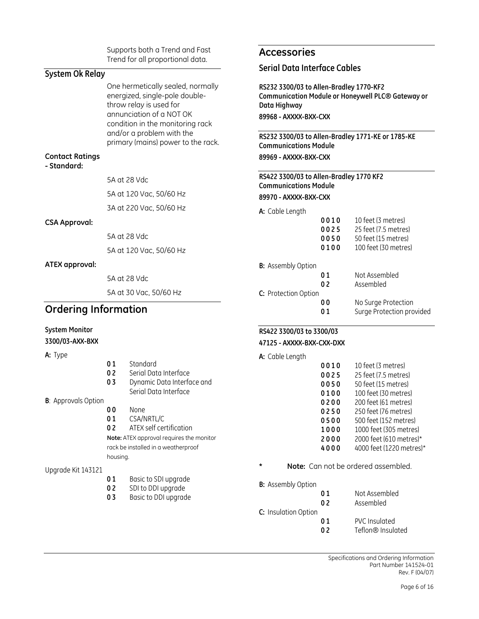Supports both a Trend and Fast Trend for all proportional data.

### System Ok Relay

One hermetically sealed, normally energized, single-pole doublethrow relay is used for annunciation of a NOT OK condition in the monitoring rack and/or a problem with the primary (mains) power to the rack.

### Contact Ratings

- Standard:

5A at 28 Vdc 5A at 120 Vac, 50/60 Hz 3A at 220 Vac, 50/60 Hz

### CSA Approval:

5A at 28 Vdc 5A at 120 Vac, 50/60 Hz

### ATEX approval:

5A at 28 Vdc

5A at 30 Vac, 50/60 Hz

### Ordering Information

### System Monitor

3300/03-AXX-BXX

### A: Type

| <b>A:</b> Type              |                |                                          |         | A: Cable Length           |                |                                     |
|-----------------------------|----------------|------------------------------------------|---------|---------------------------|----------------|-------------------------------------|
|                             | 01             | Standard                                 |         |                           | 0010           | 10 feet (3 metres)                  |
|                             | 0 <sub>2</sub> | Serial Data Interface                    |         |                           | 0025           | 25 feet (7.5 metres)                |
|                             | 03             | Dynamic Data Interface and               |         |                           | 0050           | 50 feet (15 metres)                 |
|                             |                | Serial Data Interface                    |         |                           | 0100           | 100 feet (30 metres)                |
| <b>B</b> : Approvals Option |                |                                          |         |                           | 0200           | 200 feet (61 metres)                |
|                             | 00             | None                                     |         |                           | 0250           | 250 feet (76 metres)                |
|                             | 01             | CSA/NRTL/C                               |         |                           | 0500           | 500 feet (152 metres)               |
|                             | 0 <sub>2</sub> | ATEX self certification                  |         |                           | 1000           | 1000 feet (305 metres               |
|                             |                | Note: ATEX approval requires the monitor |         |                           | 2000           | 2000 feet (610 metres               |
|                             |                | rack be installed in a weatherproof      |         |                           | 4000           | 4000 feet (1220 metre               |
|                             | housing.       |                                          |         |                           |                |                                     |
| Upgrade Kit 143121          |                |                                          | $\star$ |                           |                | Note: Can not be ordered assembled. |
|                             | 01             | Basic to SDI upgrade                     |         | <b>B:</b> Assembly Option |                |                                     |
|                             | 02             | SDI to DDI upgrade                       |         |                           | 01             | Not Assembled                       |
|                             | 03             | Basic to DDI upgrade                     |         |                           | 0 <sub>2</sub> | Assembled                           |
|                             |                |                                          |         | C: Insulation Option      |                |                                     |
|                             |                |                                          |         |                           | 01             | PVC Insulated                       |

02 Teflon<sup>®</sup> Insulated

# Accessories

### Serial Data Interface Cables

RS232 3300/03 to Allen-Bradley 1770-KF2 Communication Module or Honeywell PLC® Gateway or Data Highway 89968 - AXXXX-BXX-CXX

RS232 3300/03 to Allen-Bradley 1771-KE or 1785-KE Communications Module 89969 - AXXXX-BXX-CXX

RS422 3300/03 to Allen-Bradley 1770 KF2 Communications Module 89970 - AXXXX-BXX-CXX

A: Cable Length

| 0010<br>0025<br>0050<br>0100 | 10 feet (3 metres)<br>25 feet (7.5 metres)<br>50 feet (15 metres)<br>100 feet (30 metres) |
|------------------------------|-------------------------------------------------------------------------------------------|
| <b>B:</b> Assembly Option    |                                                                                           |
| 01                           | Not Assembled                                                                             |
| 0 <sub>2</sub>               | Assembled                                                                                 |
| C: Protection Option         |                                                                                           |
| 00                           | No Surge Protection                                                                       |
| 01                           | Surge Protection provided                                                                 |
|                              |                                                                                           |

### RS422 3300/03 to 3300/03 47125 - AXXXX-BXX-CXX-DXX

A: Cable Length

| 0025 | 25 feet (7.5 metres)     |
|------|--------------------------|
| 0050 | 50 feet (15 metres)      |
| 0100 | 100 feet (30 metres)     |
| 0200 | 200 feet (61 metres)     |
| 0250 | 250 feet (76 metres)     |
| 0500 | 500 feet (152 metres)    |
| 1000 | 1000 feet (305 metres)   |
| 2000 | 2000 feet (610 metres)*  |
| 4000 | 4000 feet (1220 metres)* |
|      |                          |

|                   | U 1 | NOL ASSEMDIED |
|-------------------|-----|---------------|
|                   | 02  | Assembled     |
| Insulation Option |     |               |
|                   | 01  | PVC Insulated |
|                   |     | - - - -       |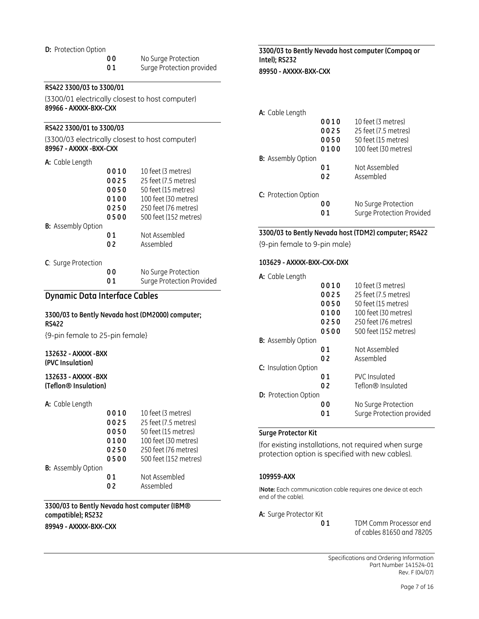#### D: Protection Option

00 No Surge Protection

01 Surge Protection provided

### RS422 3300/03 to 3300/01

(3300/01 electrically closest to host computer) 89966 - AXXXX-BXX-CXX

### RS422 3300/01 to 3300/03

(3300/03 electrically closest to host computer) 89967 - AXXXX -BXX-CXX

#### A: Cable Length

|                           | 0010 | 10 feet (3 metres)    |
|---------------------------|------|-----------------------|
|                           | 0025 | 25 feet (7.5 metres)  |
|                           | 0050 | 50 feet (15 metres)   |
|                           | 0100 | 100 feet (30 metres)  |
|                           | 0250 | 250 feet (76 metres)  |
|                           | 0500 | 500 feet (152 metres) |
| <b>B:</b> Assembly Option |      |                       |
|                           | 01   | Not Assembled         |
|                           | 02   | Assembled             |
|                           |      |                       |
| C: Surge Protection       |      |                       |
|                           |      | No Surge Protection   |

### 01 Surge Protection Provided

### Dynamic Data Interface Cables

### 3300/03 to Bently Nevada host (DM2000) computer; RS422

{9-pin female to 25-pin female}

### 132632 - AXXXX -BXX (PVC Insulation)

132633 - AXXXX -BXX (Teflon® Insulation)

#### A: Cable Length

|                           | 0010 | 10 feet (3 metres)    |
|---------------------------|------|-----------------------|
|                           | 0025 | 25 feet (7.5 metres)  |
|                           | 0050 | 50 feet (15 metres)   |
|                           | 0100 | 100 feet (30 metres)  |
|                           | 0250 | 250 feet (76 metres)  |
|                           | 0500 | 500 feet (152 metres) |
| <b>B:</b> Assembly Option |      |                       |
|                           | 01   | Not Assembled         |
|                           | በ 2  | Assembled             |
|                           |      |                       |

### 3300/03 to Bently Nevada host computer (IBM® compatible); RS232

89949 - AXXXX-BXX-CXX

### 3300/03 to Bently Nevada host computer (Compaq or Intel); RS232 89950 - AXXXX-BXX-CXX

| A: Cable Length           |      |                           |
|---------------------------|------|---------------------------|
|                           | 0010 | 10 feet (3 metres)        |
|                           | 0025 | 25 feet (7.5 metres)      |
|                           | 0050 | 50 feet (15 metres)       |
|                           | 0100 | 100 feet (30 metres)      |
| <b>B:</b> Assembly Option |      |                           |
|                           | 01   | Not Assembled             |
|                           | 02   | Assembled                 |
| C: Protection Option      |      |                           |
|                           | 00   | No Surge Protection       |
|                           | 01   | Surge Protection Provided |

### 3300/03 to Bently Nevada host (TDM2) computer; RS422

{9-pin female to 9-pin male}

### 103629 - AXXXX-BXX-CXX-DXX

| A: Cable Length             |      |                           |
|-----------------------------|------|---------------------------|
|                             | 0010 | 10 feet (3 metres)        |
|                             | 0025 | 25 feet (7.5 metres)      |
|                             | 0050 | 50 feet (15 metres)       |
|                             | 0100 | 100 feet (30 metres)      |
|                             | 0250 | 250 feet (76 metres)      |
|                             | 0500 | 500 feet (152 metres)     |
| <b>B:</b> Assembly Option   |      |                           |
|                             | 01   | Not Assembled             |
|                             | 02   | Assembled                 |
| C: Insulation Option        |      |                           |
|                             | 01   | PVC Insulated             |
|                             | 02   | Teflon® Insulated         |
| <b>D:</b> Protection Option |      |                           |
|                             | 00   | No Surge Protection       |
|                             | 01   | Surge Protection provided |

### Surge Protector Kit

(for existing installations, not required when surge protection option is specified with new cables).

### 109959-AXX

(Note: Each communication cable requires one device at each end of the cable).

A: Surge Protector Kit

01 TDM Comm Processor end of cables 81650 and 78205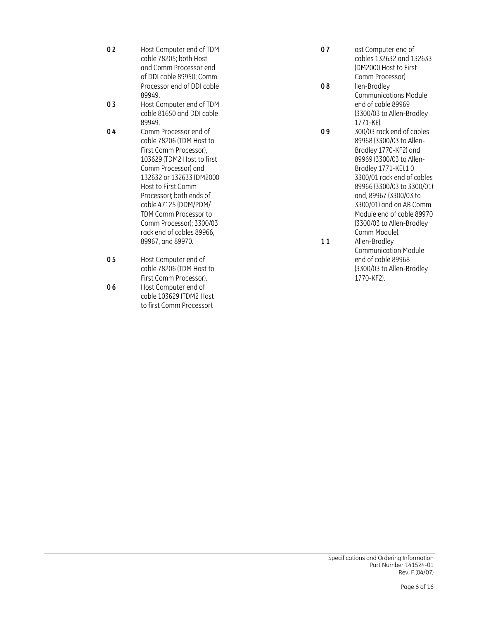- 02 Host Computer end of TDM cable 78205; both Host and Comm Processor end of DDI cable 89950; Comm Processor end of DDI cable 89949.
- 0 3 Host Computer end of TDM cable 81650 and DDI cable 89949.
- 0 4 Comm Processor end of cable 78206 (TDM Host to First Comm Processor), 103629 (TDM2 Host to first Comm Processor) and 132632 or 132633 (DM2000 Host to First Comm Processor); both ends of cable 47125 (DDM/PDM/ TDM Comm Processor to Comm Processor); 3300/03 rack end of cables 89966, 89967, and 89970.
- 05 Host Computer end of cable 78206 (TDM Host to First Comm Processor). 0 6 Host Computer end of cable 103629 (TDM2 Host to first Comm Processor).
- 07 ost Computer end of cables 132632 and 132633 (DM2000 Host to First Comm Processor)
- 08 llen-Bradley Communications Module end of cable 89969 (3300/03 to Allen-Bradley 1771-KE).
- 0 9 300/03 rack end of cables 89968 (3300/03 to Allen-Bradley 1770-KF2) and 89969 (3300/03 to Allen-Bradley 1771-KE).1 0 3300/01 rack end of cables 89966 (3300/03 to 3300/01) and, 89967 (3300/03 to 3300/01) and on AB Comm Module end of cable 89970 (3300/03 to Allen-Bradley Comm Module). 11 Allen-Bradley Communication Module

end of cable 89968 (3300/03 to Allen-Bradley

1770-KF2).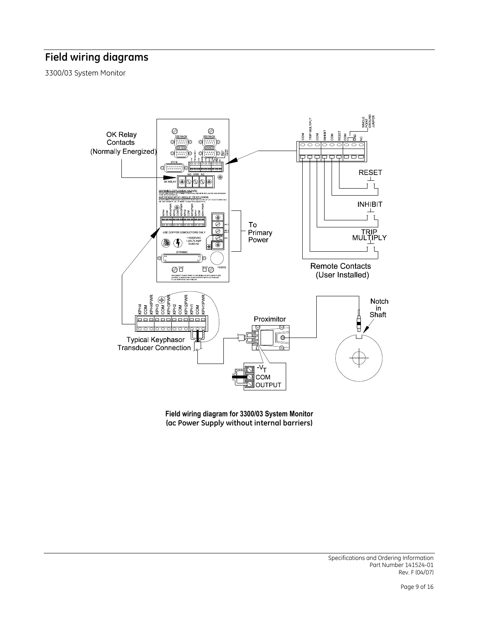# Field wiring diagrams

3300/03 System Monitor



Field wiring diagram for 3300/03 System Monitor (ac Power Supply without internal barriers)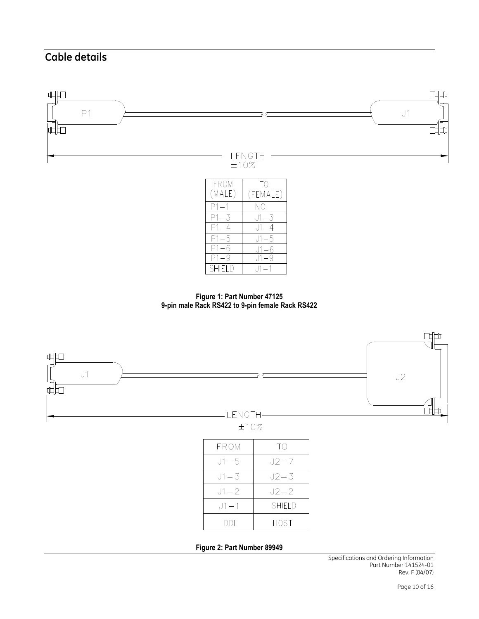# Cable details





 $J1-1$ 

**SHIELD** 



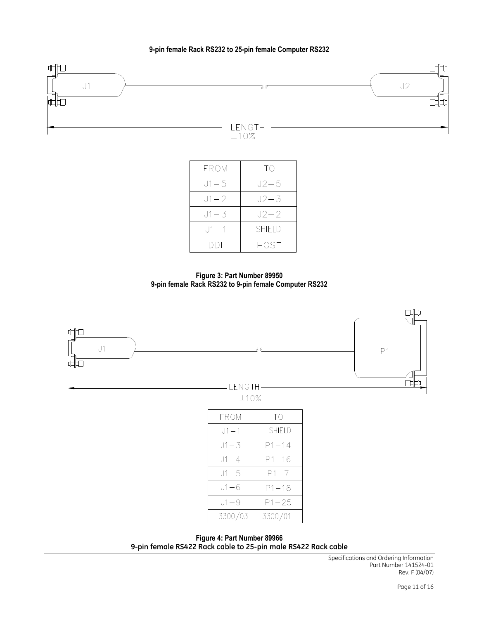### 9-pin female Rack RS232 to 25-pin female Computer RS232



| <b>FROM</b> | $\overline{1}()$ |
|-------------|------------------|
| J1 – 5      | J2–5             |
| $J1 - 2$    | $J2 - 3$         |
| J1 – 3      | J2–2             |
| $J1 - 1$    | SHIFI D          |
| DDI         | HOST             |

Figure 3: Part Number 89950 9-pin female Rack RS232 to 9-pin female Computer RS232



Figure 4: Part Number 89966 9-pin female RS422 Rack cable to 25-pin male RS422 Rack cable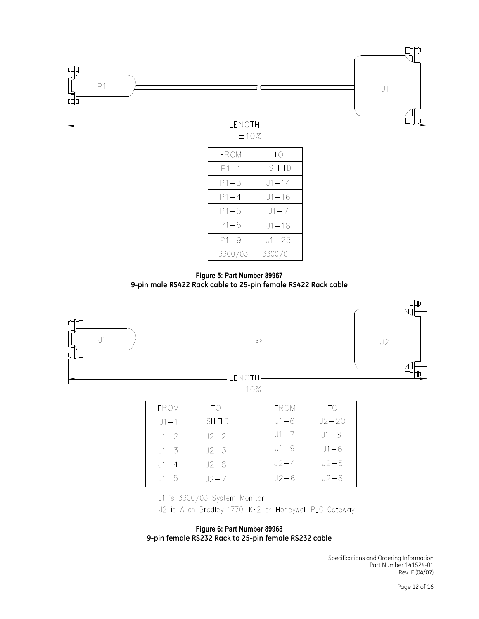

| FROM     | TΟ        |
|----------|-----------|
| P1 – 1   | SHIFI D   |
| P1—3     | $J1 - 14$ |
| $P1 - 4$ | J1–16     |
| $P1 - 5$ | $.11 - 7$ |
| P1-6     | J1–18     |
| $P1 - 9$ | J1 – 25   |
| 3300/03  | 3300/01   |

Figure 5: Part Number 89967 9-pin male RS422 Rack cable to 25-pin female RS422 Rack cable



| <b>FROM</b> | TΟ       |
|-------------|----------|
| $J1 - 1$    | SHIFI D  |
| $J1 - 2$    | $J2 - 2$ |
| $J1 - 3$    | $J2 - 3$ |
| $11 - 4$    | $J2 - 8$ |
| $J1 - 5$    | J2–7     |

| <b>FROM</b> | TΟ     |
|-------------|--------|
| J1 – 6      | J2–20  |
| $J1 - 7$    | J1 – 8 |
| $11 - 9$    | J1–6   |
| $J2 - 4$    | $J2-5$ |
| J2—6        | J2-8   |

J1 is 3300/03 System Monitor

J2 is Allen Bradley 1770-KF2 or Honeywell PLC Gateway

Figure 6: Part Number 89968 9-pin female RS232 Rack to 25-pin female RS232 cable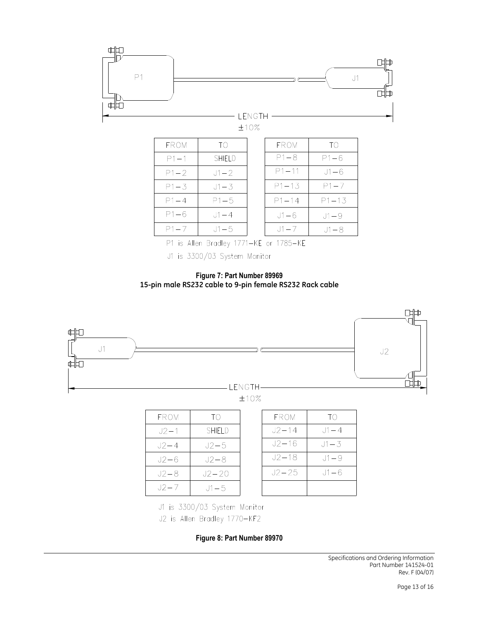

P1 is Allen Bradley 1771-KE or 1785-KE

J1 is 3300/03 System Monitor

Figure 7: Part Number 89969 15-pin male RS232 cable to 9-pin female RS232 Rack cable



| <b>FROM</b> | TΟ            |
|-------------|---------------|
| J2-1        | <b>SHIELD</b> |
| J2–4        | J2–5          |
| J2–6        | $J2 - 8$      |
| $J2 - 8$    | $J2 - 20$     |
| $J2 - 7$    | $.11 - 5$     |

| FROM      | TО         |
|-----------|------------|
| $J2 - 14$ | $11 - 4$   |
| J2–16     | $.11 - .3$ |
| J2-18     | $11 - 9$   |
| J2–25     | .J1 — 6    |
|           |            |

J1 is 3300/03 System Monitor J2 is Allen Bradley 1770-KF2

Figure 8: Part Number 89970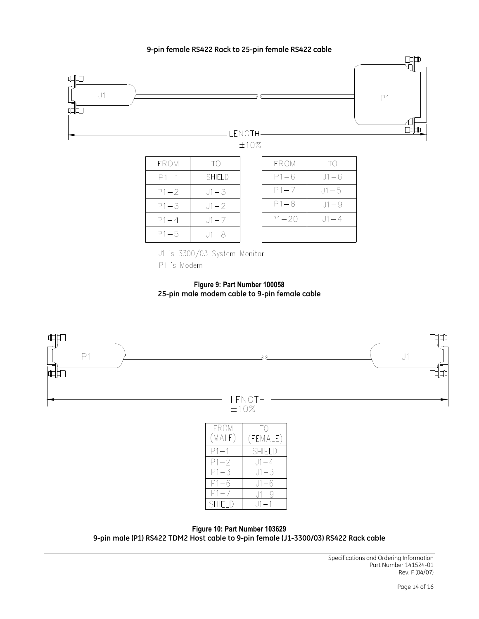### 9-pin female RS422 Rack to 25-pin female RS422 cable



P1 is Modem

Figure 9: Part Number 100058 25-pin male modem cable to 9-pin female cable



 $J1 - 6$ 

 $J1-9$ 

 $J1-1$ 

Figure 10: Part Number 103629 9-pin male (P1) RS422 TDM2 Host cable to 9-pin female (J1-3300/03) RS422 Rack cable

 $P1-6$ 

 $P1 - 7$ 

SHIELD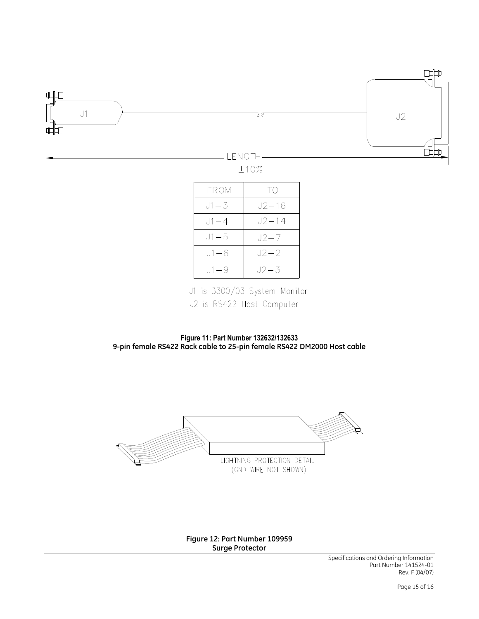

| FROM     | TO        |
|----------|-----------|
| $J1 - 3$ | $J2 - 16$ |
| J1 — 4   | J2–14     |
| $J1 - 5$ | J2–7      |
| $J1 - 6$ | J2–2      |
| $11 - 9$ | J2 – 3    |

J1 is 3300/03 System Monitor J2 is RS422 Host Computer

Figure 11: Part Number 132632/132633 9-pin female RS422 Rack cable to 25-pin female RS422 DM2000 Host cable



Figure 12: Part Number 109959 Surge Protector